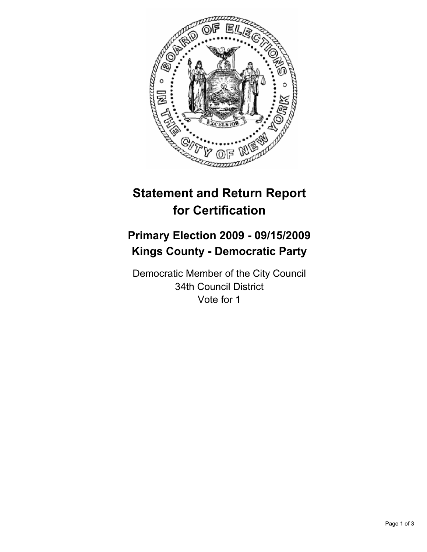

# **Statement and Return Report for Certification**

## **Primary Election 2009 - 09/15/2009 Kings County - Democratic Party**

Democratic Member of the City Council 34th Council District Vote for 1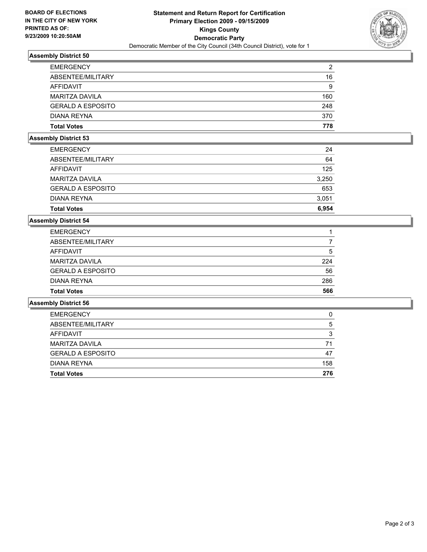

### **Assembly District 50**

| <b>MARITZA DAVILA</b>    | 160 |
|--------------------------|-----|
| <b>GERALD A ESPOSITO</b> | 248 |
| DIANA REYNA              | 370 |
| <b>Total Votes</b>       | 778 |

#### **Assembly District 53**

| 6.954 |
|-------|
| 3,051 |
| 653   |
| 3,250 |
| 125   |
| 64    |
| 24    |
|       |

#### **Assembly District 54**

| <b>EMERGENCY</b>         |     |
|--------------------------|-----|
| ABSENTEE/MILITARY        |     |
| AFFIDAVIT                | 5   |
| <b>MARITZA DAVILA</b>    | 224 |
| <b>GERALD A ESPOSITO</b> | 56  |
| DIANA REYNA              | 286 |
| <b>Total Votes</b>       | 566 |

#### **Assembly District 56**

| <b>Total Votes</b>       |     |
|--------------------------|-----|
|                          | 276 |
| <b>DIANA REYNA</b>       | 158 |
| <b>GERALD A ESPOSITO</b> | 47  |
| <b>MARITZA DAVILA</b>    | 71  |
| AFFIDAVIT                | 3   |
| ABSENTEE/MILITARY        | 5   |
| <b>EMERGENCY</b>         | 0   |